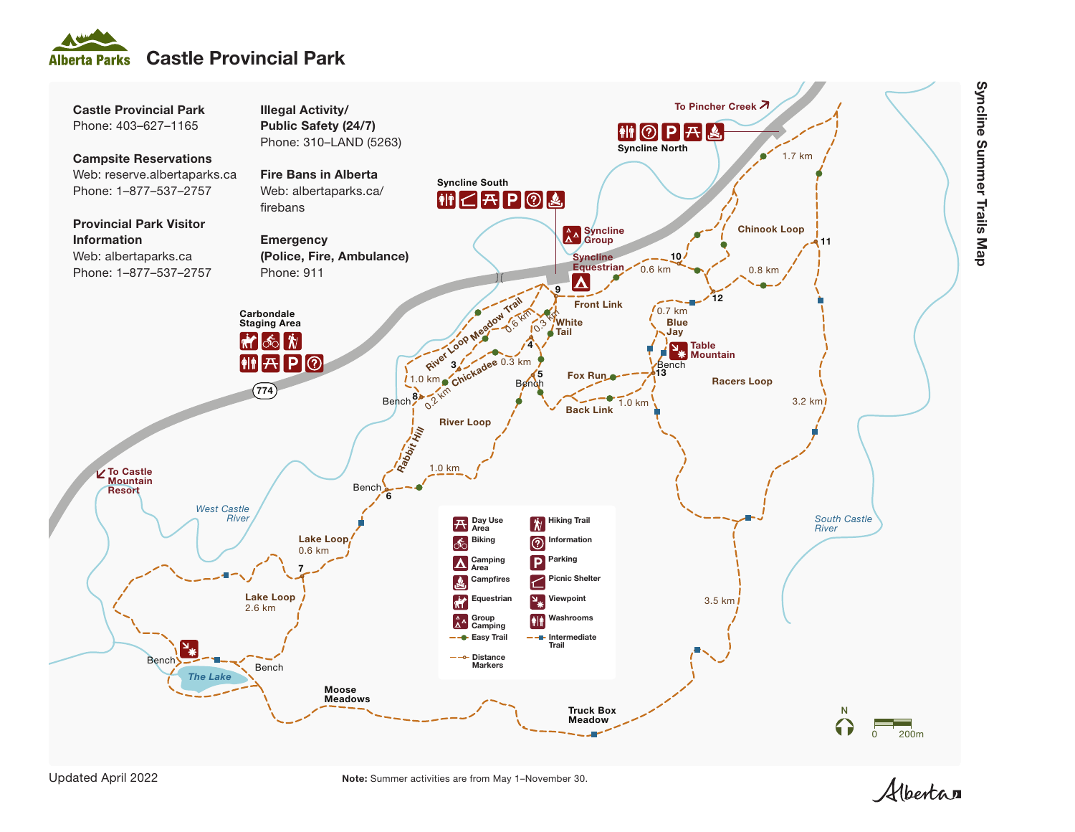





Note: Summer activities are from May 1–November 30.

Albertan